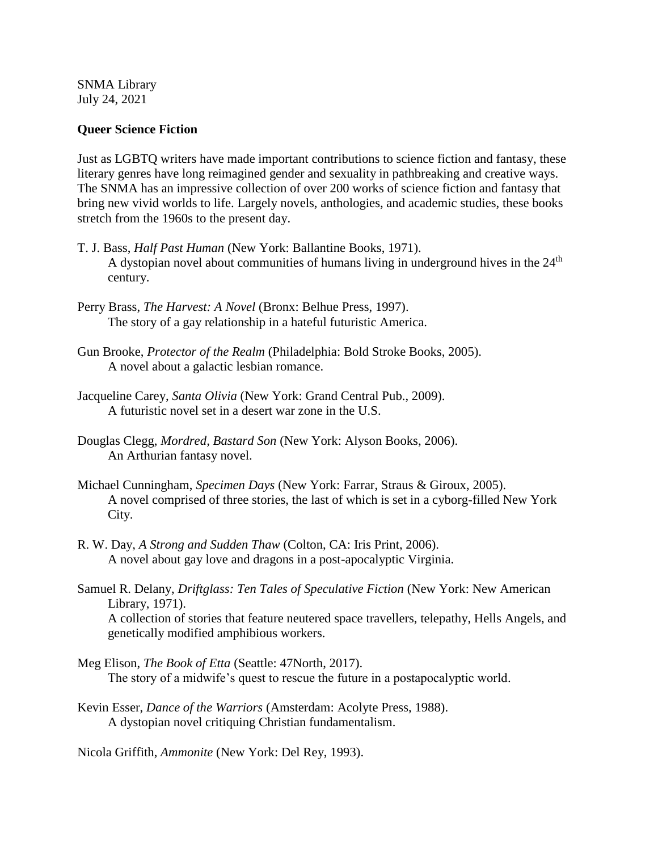SNMA Library July 24, 2021

## **Queer Science Fiction**

Just as LGBTQ writers have made important contributions to science fiction and fantasy, these literary genres have long reimagined gender and sexuality in pathbreaking and creative ways. The SNMA has an impressive collection of over 200 works of science fiction and fantasy that bring new vivid worlds to life. Largely novels, anthologies, and academic studies, these books stretch from the 1960s to the present day.

- T. J. Bass, *Half Past Human* (New York: Ballantine Books, 1971). A dystopian novel about communities of humans living in underground hives in the  $24<sup>th</sup>$ century.
- Perry Brass, *The Harvest: A Novel* (Bronx: Belhue Press, 1997). The story of a gay relationship in a hateful futuristic America.
- Gun Brooke, *Protector of the Realm* (Philadelphia: Bold Stroke Books, 2005). A novel about a galactic lesbian romance.
- Jacqueline Carey, *Santa Olivia* (New York: Grand Central Pub., 2009). A futuristic novel set in a desert war zone in the U.S.
- Douglas Clegg, *Mordred, Bastard Son* (New York: Alyson Books, 2006). An Arthurian fantasy novel.
- Michael Cunningham, *Specimen Days* (New York: Farrar, Straus & Giroux, 2005). A novel comprised of three stories, the last of which is set in a cyborg-filled New York City.
- R. W. Day, *A Strong and Sudden Thaw* (Colton, CA: Iris Print, 2006). A novel about gay love and dragons in a post-apocalyptic Virginia.
- Samuel R. Delany, *Driftglass: Ten Tales of Speculative Fiction* (New York: New American Library, 1971). A collection of stories that feature neutered space travellers, telepathy, Hells Angels, and
	- genetically modified amphibious workers.
- Meg Elison, *The Book of Etta* (Seattle: 47North, 2017). The story of a midwife's quest to rescue the future in a postapocalyptic world.
- Kevin Esser, *Dance of the Warriors* (Amsterdam: Acolyte Press, 1988). A dystopian novel critiquing Christian fundamentalism.

Nicola Griffith, *Ammonite* (New York: Del Rey, 1993).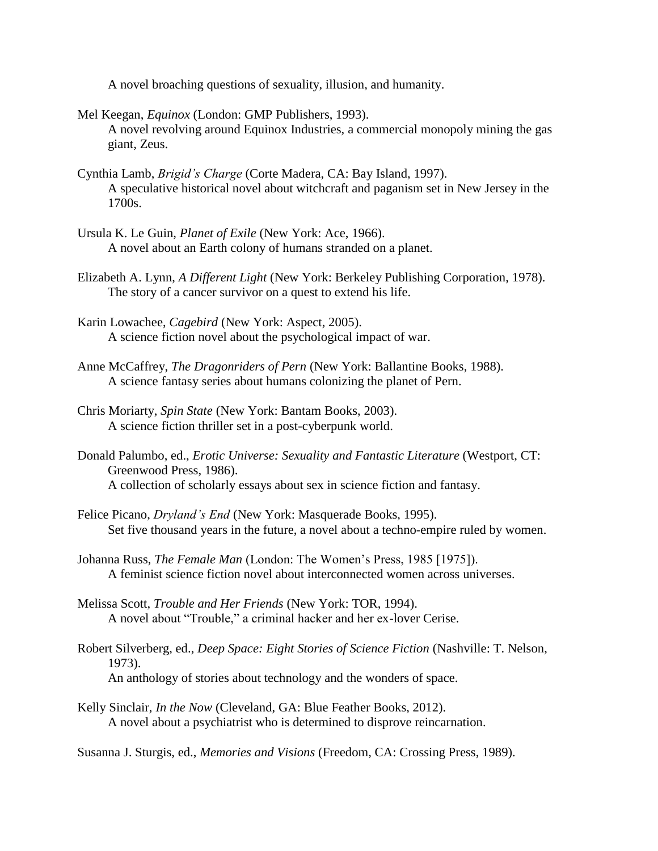A novel broaching questions of sexuality, illusion, and humanity.

Mel Keegan, *Equinox* (London: GMP Publishers, 1993). A novel revolving around Equinox Industries, a commercial monopoly mining the gas giant, Zeus.

- Cynthia Lamb, *Brigid's Charge* (Corte Madera, CA: Bay Island, 1997). A speculative historical novel about witchcraft and paganism set in New Jersey in the 1700s.
- Ursula K. Le Guin, *Planet of Exile* (New York: Ace, 1966). A novel about an Earth colony of humans stranded on a planet.
- Elizabeth A. Lynn, *A Different Light* (New York: Berkeley Publishing Corporation, 1978). The story of a cancer survivor on a quest to extend his life.
- Karin Lowachee, *Cagebird* (New York: Aspect, 2005). A science fiction novel about the psychological impact of war.
- Anne McCaffrey, *The Dragonriders of Pern* (New York: Ballantine Books, 1988). A science fantasy series about humans colonizing the planet of Pern.
- Chris Moriarty, *Spin State* (New York: Bantam Books, 2003). A science fiction thriller set in a post-cyberpunk world.
- Donald Palumbo, ed., *Erotic Universe: Sexuality and Fantastic Literature* (Westport, CT: Greenwood Press, 1986). A collection of scholarly essays about sex in science fiction and fantasy.
- Felice Picano, *Dryland's End* (New York: Masquerade Books, 1995). Set five thousand years in the future, a novel about a techno-empire ruled by women.
- Johanna Russ, *The Female Man* (London: The Women's Press, 1985 [1975]). A feminist science fiction novel about interconnected women across universes.
- Melissa Scott, *Trouble and Her Friends* (New York: TOR, 1994). A novel about "Trouble," a criminal hacker and her ex-lover Cerise.
- Robert Silverberg, ed., *Deep Space: Eight Stories of Science Fiction* (Nashville: T. Nelson, 1973). An anthology of stories about technology and the wonders of space.
- Kelly Sinclair, *In the Now* (Cleveland, GA: Blue Feather Books, 2012). A novel about a psychiatrist who is determined to disprove reincarnation.

Susanna J. Sturgis, ed., *Memories and Visions* (Freedom, CA: Crossing Press, 1989).